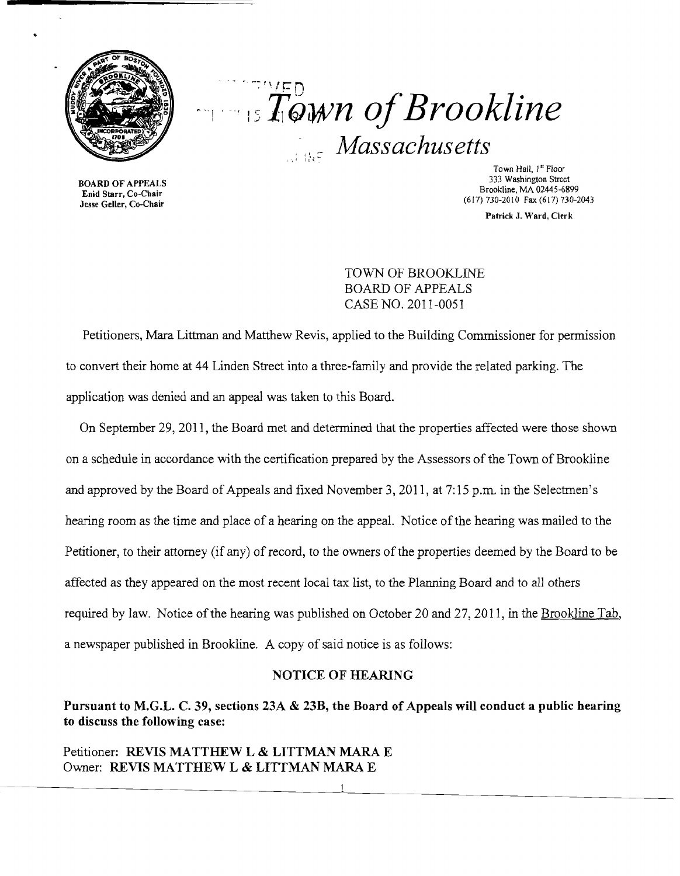

 $\sim$   $\sim$   $\sim$   $\sim$  n '15 *tiJwn ofBrookline Massachusetts* 

BOARD OF APPEALS Enid Starr, Co-Chair Jesse Geller, Co-Chair

Town Hall, 1" Floor 333 Washington Street Brookline, MA 02445-6899 (617) 730-2010 Fax (617) 730-2043

Patrick J. Ward, Clerk

TOWN OF BROOKLINE BOARD OF APPEALS CASE NO. 2011-0051

Petitioners, Mara Littman and Matthew Revis, applied to the Building Commissioner for permission to convert their home at 44 Linden Street into a three-family and provide the related parking. The application was denied and an appeal was taken to this Board.

On September 29,2011, the Board met and determined that the properties affected were those shown on a schedule in accordance with the certification prepared by the Assessors of the Town of Brookline and approved by the Board of Appeals and fixed November 3, 2011, at 7: 15 p.m. in the Selectmen's hearing room as the time and place of a hearing on the appeal. Notice of the hearing was mailed to the Petitioner, to their attorney (if any) of record, to the owners of the properties deemed by the Board to be affected as they appeared on the most recent local tax list, to the Planning Board and to all others required by law. Notice of the hearing was published on October 20 and 27, 2011, in the Brookline Tab, a newspaper published in Brookline. A copy of said notice is as follows:

### NOTICE OF HEARING

# Pursuant to M.G.L. C. 39, sections 23A & 23B, the Board of Appeals will conduct a public hearing to discuss the following case:

Petitioner: REVIS MATTHEW L & LITTMAN MARA E Owner: REVIS MATTHEW L & LITTMAN MARA E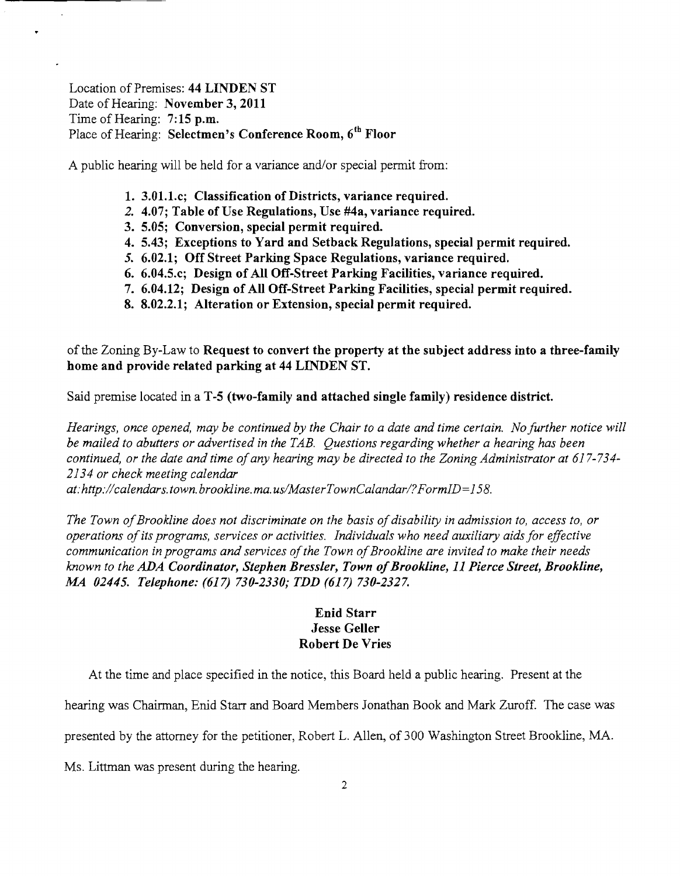## Location of Premises: **44 LINDEN ST** Date of Hearing: **November 3,2011** Time of Hearing: **7; 15 p.m.** Place of Hearing: **Selectmen's Conference Room, 6th Floor**

A public hearing will be held for a variance and/or special permit from:

- **1. 3.01.1.c; Classification of Districts, variance required.**
- **2. 4.07; Table** of Use **Regulations, Use #4a, variance required.**
- **3. 5.05; Conversion, special permit required.**
- **4. 5.43; Exceptions to Yard and Setback Regulations, special permit required.**
- **5. 6.02.1; Off Street Parking Space Regulations, variance required.**
- **6. 6.04.5.c; Design of All Off-Street Parking Facilities, variance required.**
- **7. 6.04.12; Design of All Off-Street Parking Facilities, special permit required.**
- **8. 8.02.2.1; Alteration or Extension, special permit required.**

of the Zoning By-Law to **Request to convert the property at the subject address into a three-family home and provide related parking at 44 LINDEN ST.** 

Said premise located in a **T-5 (two-family and attached single family) residence district.** 

*Hearings, once opened, may be continued by the Chair to a date and time certain. No further notice will be mailed to abutters or advertised in the TAB. Questions regarding whether a hearing has been continued, or the date and time ofany hearing may be directed to the Zoning Administrator at 617-734 2134 or check meeting calendar* 

*at:http://calendars.town.brookline.ma.usIMasterTownCalandarl?FormID=158.* 

The Town of Brookline does not discriminate on the basis of disability in admission to, access to, or *operations ofits programs, services or activities. Individuals who need auxiliary aids for effective*  communication in programs and services of the Town of Brookline are invited to make their needs *known to the ADA Coordinator, Stephen Bressler, Town ofBrookline,* **11** *Pierce Street, Brookline,*  **M4** *02445. Telephone:* **(617)** *730-2330; TDD* **(617)** *730-2327.* 

### **Enid Starr Jesse Geller Robert De Vries**

At the time and place specified in the notice, this Board held a public hearing. Present at the

hearing was Chairman, Enid Starr and Board Members Jonathan Book and Mark Zuroff. The case was

presented by the attorney for the petitioner, Robert L. Allen, of 300 Washington Street Brookline, MA.

Ms. Littman was present during the hearing.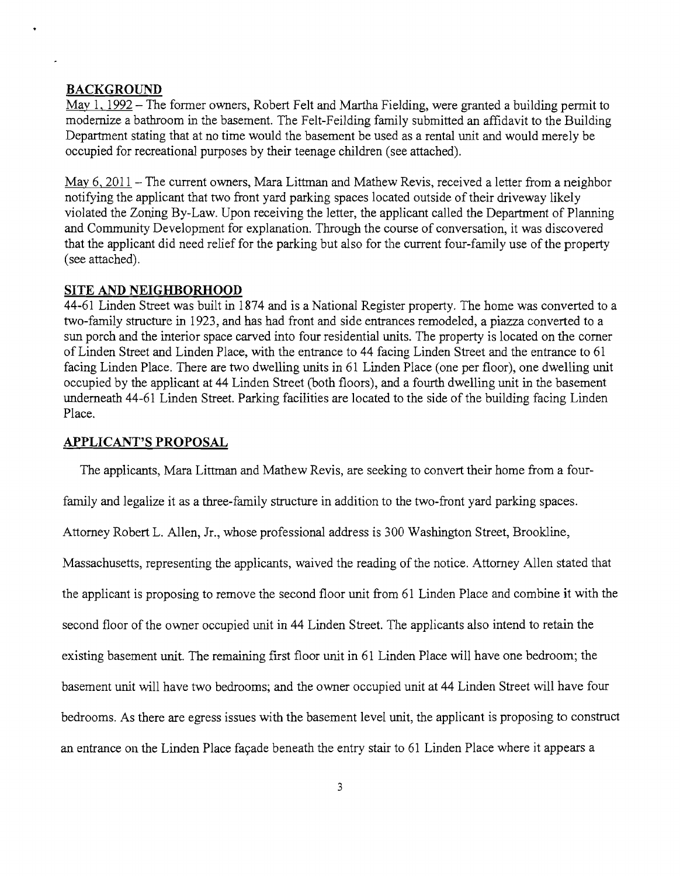### **BACKGROUND**

May 1, 1992 – The former owners, Robert Felt and Martha Fielding, were granted a building permit to modernize a bathroom in the basement. The Felt-Feilding family submitted an affidavit to the Building Department stating that at no time would the basement be used as a rental unit and would merely be occupied for recreational purposes by their teenage children (see attached).

May 6, 2011 - The current owners, Mara Littman and Mathew Revis, received a letter from a neighbor notifying the applicant that two front yard parking spaces located outside of their driveway likely violated the Zoning By-Law. Upon receiving the letter, the applicant called the Department of Planning and Community Development for explanation. Through the course of conversation, it was discovered that the applicant did need relief for the parking but also for the current four-family use of the property (see attached).

#### **SITE AND NEIGHBORHOOD**

44-61 Linden Street was built in 1874 and is a National Register property. The home was converted to a two-family structure in 1923, and has had front and side entrances remodeled, a piazza converted to a sun porch and the interior space carved into four residential units. The property is located on the comer of Linden Street and Linden Place, with the entrance to 44 facing Linden Street and the entrance to 61 facing Linden Place. There are two dwelling units in 61 Linden Place (one per floor), one dwelling unit occupied by the applicant at 44 Linden Street (both floors), and a fourth dwelling unit in the basement underneath 44-61 Linden Street. Parking facilities are located to the side of the building facing Linden Place.

#### **APPLICANT'S PROPOSAL**

The applicants, Mara Littman and Mathew Revis, are seeking to convert their home from a four-

family and legalize it as a three-family structure in addition to the two-front yard parking spaces.

Attorney Robert L. Allen, Jr., whose professional address is 300 Washington Street, Brookline,

Massachusetts, representing the applicants, waived the reading of the notice. Attorney Allen stated that

the applicant is proposing to remove the second floor unit from 61 Linden Place and combine it with the

second floor of the owner occupied unit in 44 Linden Street. The applicants also intend to retain the

existing basement unit. The remaining first floor unit in 61 Linden Place will have one bedroom; the

basement unit will have two bedrooms; and the owner occupied unit at 44 Linden Street will have four

bedrooms. As there are egress issues with the basement level unit, the applicant is proposing to construct

an entrance on the Linden Place façade beneath the entry stair to 61 Linden Place where it appears a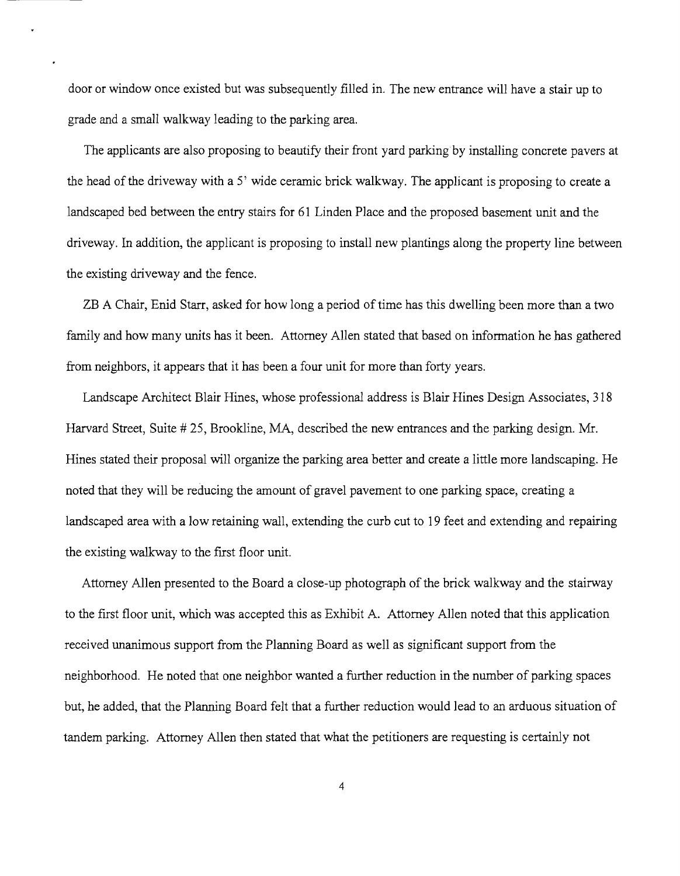door or window once existed but was subsequently filled in. The new entrance will have a stair up to grade and a small walkway leading to the parking area.

The applicants are also proposing to beautify their front yard parking by installing concrete pavers at the head of the driveway with a 5' wide ceramic brick walkway. The applicant is proposing to create a landscaped bed between the entry stairs for 61 Linden Place and the proposed basement unit and the driveway. In addition, the applicant is proposing to install new plantings along the property line between the existing driveway and the fence.

ZB A Chair, Enid Starr, asked for how long a period of time has this dwelling been more than a two family and how many units has it been. Attorney Allen stated that based on information he has gathered from neighbors, it appears that it has been a four unit for more than forty years.

Landscape Architect Blair Hines, whose professional address is Blair Hines Design Associates, 318 Harvard Street, Suite # 25, Brookline, MA, described the new entrances and the parking design. Mr. Hines stated their proposal will organize the parking area better and create a little more landscaping. He noted that they will be reducing the amount of gravel pavement to one parking space, creating a landscaped area with a low retaining wall, extending the curb cut to 19 feet and extending and repairing the existing walkway to the first floor unit.

Attorney Allen presented to the Board a close-up photograph of the brick walkway and the stairway to the first floor unit, which was accepted this as Exhibit A. Attorney Allen noted that this application received unanimous support from the Planning Board as well as significant support from the neighborhood. He noted that one neighbor wanted a further reduction in the number of parking spaces but, he added, that the Planning Board felt that a further reduction would lead to an arduous situation of tandem parking. Attorney Allen then stated that what the petitioners are requesting is certainly not

4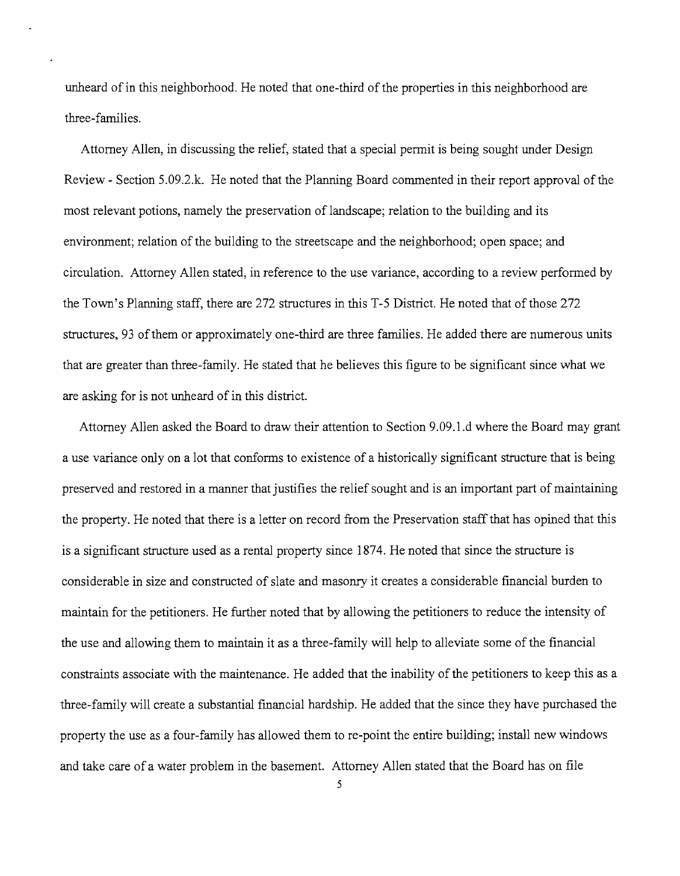unheard of in this neighborhood. He noted that one-third of the properties in this neighborhood are three-families.

Attorney Allen, in discussing the relief, stated that a special permit is being sought under Design Review - Section 5.09.2.k. He noted that the Planning Board commented in their report approval of the most relevant potions, namely the preservation of landscape; relation to the building and its environment; relation of the building to the streetscape and the neighborhood; open space; and circulation. Attorney Allen stated, in reference to the use variance, according to a review performed by the Town's Planning staff, there are 272 structures in this T-5 District. He noted that of those 272 structures, 93 ofthem or approximately one-third are three families. He added there are numerous units that are greater than three-family. He stated that he believes this figure to be significant since what we are asking for is not unheard of in this district.

Attorney Allen asked the Board to draw their attention to Section 9.09.1.d where the Board may grant a use variance only on a lot that conforms to existence of a historically significant structure that is being preserved and restored in a manner that justifies the relief sought and is an important part of maintaining the property. He noted that there is a letter on record from the Preservation staff that has opined that this is a significant structure used as a rental property since 1874. He noted that since the structure is considerable in size and constructed of slate and masonry it creates a considerable financial burden to maintain for the petitioners. He further noted that by allowing the petitioners to reduce the intensity of the use and allowing them to maintain it as a three-family will help to alleviate some of the financial constraints associate with the maintenance. He added that the inability of the petitioners to keep this as a three-family will create a substantial financial hardship. He added that the since they have purchased the property the use as a four-family has allowed them to re-point the entire building; install new windows and take care of a water problem in the basement. Attorney Allen stated that the Board has on file

5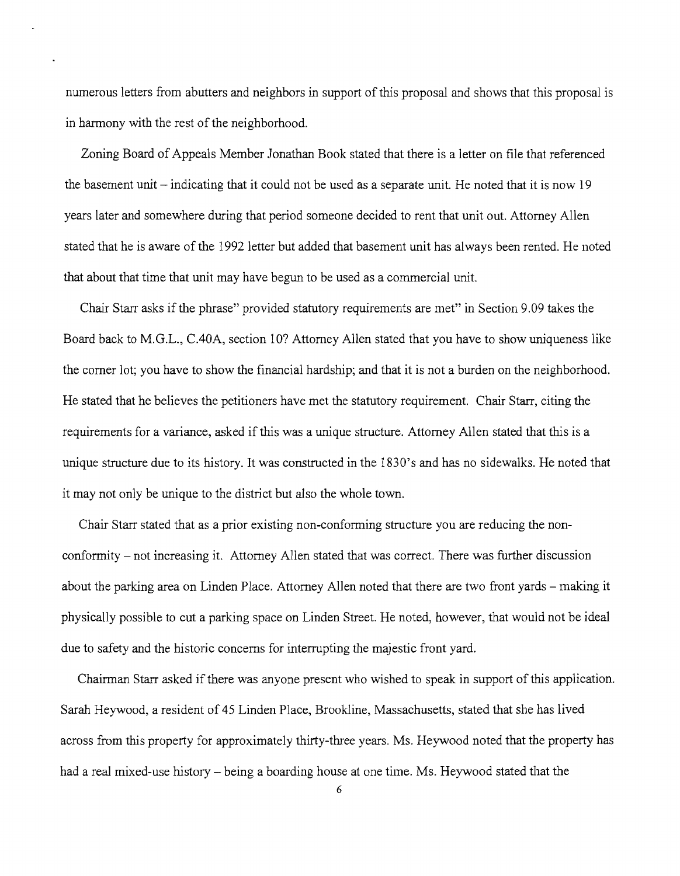numerous letters from abutters and neighbors in support of this proposal and shows that this proposal is in harmony with the rest of the neighborhood.

Zoning Board of Appeals Member Jonathan Book stated that there is a letter on file that referenced the basement unit  $-$  indicating that it could not be used as a separate unit. He noted that it is now 19 years later and somewhere during that period someone decided to rent that unit out. Attorney Allen stated that he is aware of the 1992 letter but added that basement unit has always been rented. He noted that about that time that unit may have begun to be used as a commercial unit.

Chair Starr asks if the phrase" provided statutory requirements are met" in Section 9.09 takes the Board back to M.G.L., C.40A, section 10? Attorney Allen stated that you have to show uniqueness like the comer lot; you have to show the financial hardship; and that it is not a burden on the neighborhood. He stated that he believes the petitioners have met the statutory requirement. Chair Starr, citing the requirements for a variance, asked if this was a unique structure. Attorney Allen stated that this is a unique structure due to its history. It was constructed in the 1830's and has no sidewalks. He noted that it may not only be unique to the district but also the whole town.

Chair Starr stated that as a prior existing non-conforming structure you are reducing the nonconformity - not increasing it. Attorney Allen stated that was correct. There was further discussion about the parking area on Linden Place. Attorney Allen noted that there are two front yards – making it physically possible to cut a parking space on Linden Street. He noted, however, that would not be ideal due to safety and the historic concerns for interrupting the majestic front yard.

Chairman Starr asked if there was anyone present who wished to speak in support of this application. Sarah Heywood, a resident of 45 Linden Place, Brookline, Massachusetts, stated that she has lived across from this property for approximately thirty-three years. Ms. Heywood noted that the property has had a real mixed-use history – being a boarding house at one time. Ms. Heywood stated that the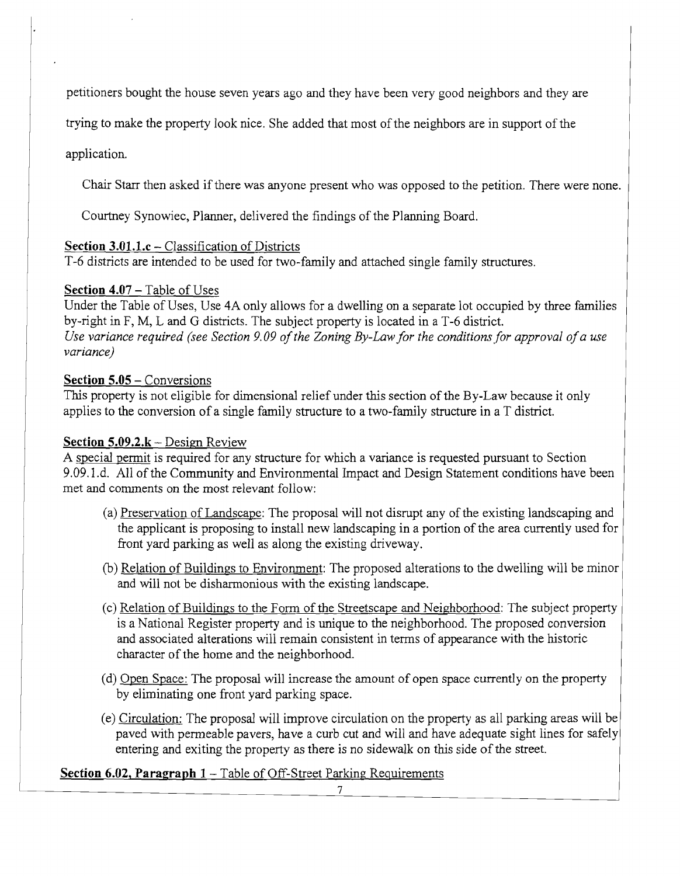petitioners bought the house seven years ago and they have been very good neighbors and they are

trying to make the property look nice. She added that most of the neighbors are in support of the

application.

Chair Starr then asked if there was anyone present who was opposed to the petition. There were none.

Courtney Synowiec, Planner, delivered the findings of the Planning Board.

### **Section 3.01.1.c** – Classification of Districts

*T-6* districts are intended to be used for two-family and attached single family structures.

## **Section 4.07 – Table of Uses**

Under the Table of Uses, Use 4A only allows for a dwelling on a separate lot occupied by three families by-right in F, M, L and G districts. The subject property is located in a *T-6* district. *Use variance required (see Section 9.09 of the Zoning By-Law for the conditions for approval of a use variance)* 

## **Section 5.05** - Conversions

This property is not eligible for dimensional relief under this section of the By-Law because it only applies to the conversion of a single family structure to a two-family structure in a T district.

## **Section 5.09.2.k** – Design Review

A special permit is required for any structure for which a variance is requested pursuant to Section 9.09.1.d. All of the Community and Environmental Impact and Design Statement conditions have been met and comments on the most relevant follow:

- (a) Preservation of Landscape: The proposal will not disrupt any of the existing landscaping and the applicant is proposing to install new landscaping in a portion of the area currently used for front yard parking as well as along the existing driveway.
- (b) Relation of Buildings to Environment: The proposed alterations to the dwelling will be minor and will not be disharmonious with the existing landscape.
- (c) Relation of Buildings to the Form of the Streetscape and Neighborhood: The subject property is a National Register property and is unique to the neighborhood. The proposed conversion and associated alterations will remain consistent in terms of appearance with the historic character of the home and the neighborhood.
- (d) Open Space: The proposal will increase the amount of open space currently on the property by eliminating one front yard parking space.
- (e) Circulation: The proposal will improve circulation on the property as all parking areas will be paved with penneable pavers, have a curb cut and will and have adequate sight lines for safely entering and exiting the property as there is no sidewalk on this side of the street.

## **Section 6.02, Paragraph 1 – Table of Off-Street Parking Requirements**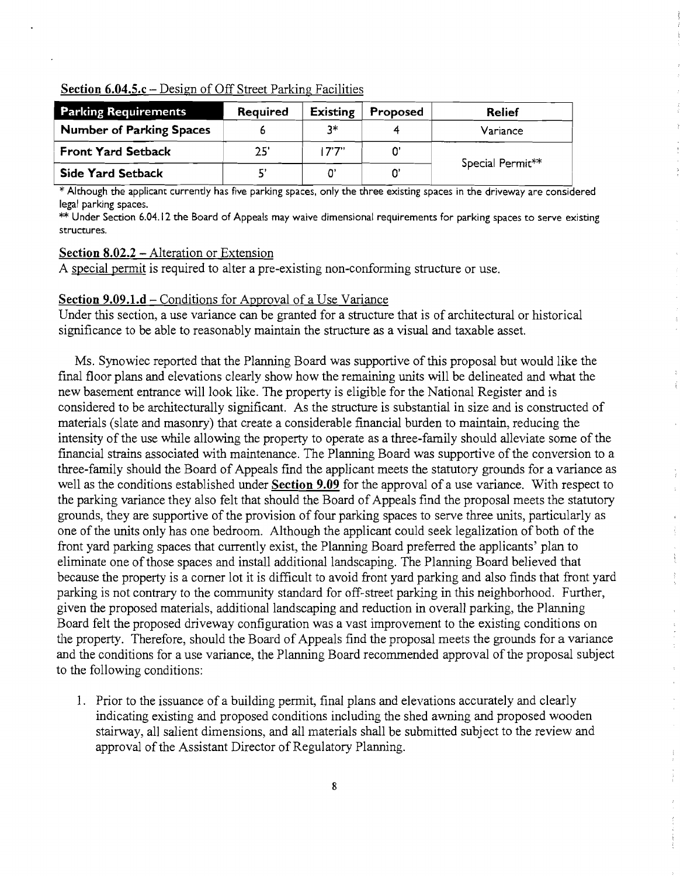### **Section 6.04.5.c** - Design of Off Street Parking Facilities

| <b>Parking Requirements</b>     | Required | <b>Existing</b> | Proposed | <b>Relief</b>    |
|---------------------------------|----------|-----------------|----------|------------------|
| <b>Number of Parking Spaces</b> |          | 7*              |          | Variance         |
| <b>Front Yard Setback</b>       | 25'      | יידיו           |          | Special Permit** |
| <b>Side Yard Setback</b>        |          |                 |          |                  |

\*Although the applicant currently has five parking spaces, only the three existing spaces in the driveway are considered legal parking spaces.

\*\* Under Section 6.04.12 the Board of Appeals may waive dimensional requirements for parking spaces to serve existing structures.

#### **Section 8.02.2** - Alteration or Extension

A special permit is required to alter a pre-existing non-conforming structure or use.

### **Section 9.09.l.d** - Conditions for Approval of a Use Variance

Under this section, a use variance can be granted for a structure that is of architectural or historical significance to be able to reasonably maintain the structure as a visual and taxable asset.

Ms. Synowiec reported that the Planning Board was supportive of this proposal but would like the fmal floor plans and elevations clearly show how the remaining units will be delineated and what the new basement entrance will look like. The property is eligible for the National Register and is considered to be architecturally significant. As the structure is substantial in size and is constructed of materials (slate and masonry) that create a considerable financial burden to maintain, reducing the intensity of the use while allowing the property to operate as a three-family should alleviate some of the financial strains associated with maintenance. The Planning Board was supportive of the conversion to a three-family should the Board of Appeals fmd the applicant meets the statutory grounds for a variance as well as the conditions established under **Section 9.09** for the approval of a use variance. With respect to the parking variance they also felt that should the Board of Appeals fmd the proposal meets the statutory grounds, they are supportive of the provision of four parking spaces to serve three units, particularly as one of the units only has one bedroom. Although the applicant could seek legalization of both of the front yard parking spaces that currently exist, the Planning Board preferred the applicants' plan to eliminate one ofthose spaces and install additional landscaping. The Planning Board believed that because the property is a corner lot it is difficult to avoid front yard parking and also finds that front yard parking is not contrary to the community standard for off-street parking in this neighborhood. Further, given the proposed materials, additional landscaping and reduction in overall parking, the Planning Board felt the proposed driveway configuration was a vast improvement to the existing conditions on the property. Therefore, should the Board of Appeals find the proposal meets the grounds for a variance and the conditions for a use variance, the Planning Board recommended approval of the proposal subject to the following conditions:

 $\frac{1}{2}$ 

 $\begin{array}{c} 1 \\ 2 \\ 3 \\ 4 \end{array}$ 

 $\bar{\tau}$ 

1. Prior to the issuance of a building permit, final plans and elevations accurately and clearly indicating existing and proposed conditions including the shed awning and proposed wooden stairway, all salient dimensions, and all materials shall be submitted subject to the review and approval of the Assistant Director of Regulatory Planning.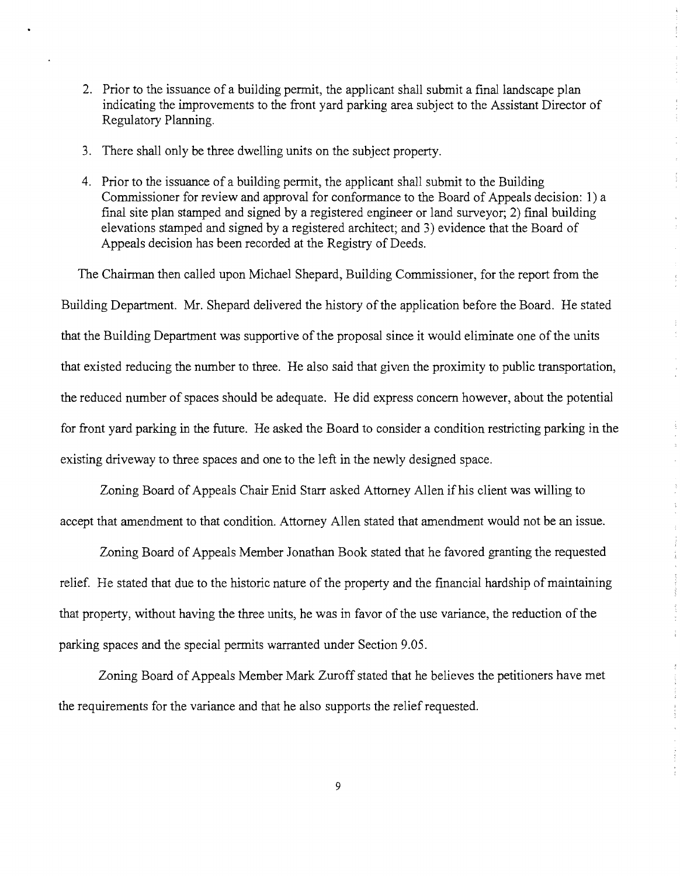- 2. Prior to the issuance of a building permit, the applicant shall submit a final landscape plan indicating the improvements to the front yard parking area subject to the Assistant Director of Regulatory Planning.
- 3. There shall only be three dwelling units on the subject property.
- 4. Prior to the issuance of a building permit, the applicant shall submit to the Building Commissioner for review and approval for conformance to the Board of Appeals decision: 1) a  $final site plan stamped and signed by a registered engineer or land survey or; 2) final building$ elevations stamped and signed by a registered architect; and 3) evidence that the Board of Appeals decision has been recorded at the Registry of Deeds.

The Chairman then called upon Michael Shepard, Building Commissioner, for the report from the Building Department. Mr. Shepard delivered the history of the application before the Board. He stated that the Building Department was supportive of the proposal since it would eliminate one of the units that existed reducing the number to three. He also said that given the proximity to public transportation, the reduced number of spaces should be adequate. He did express concern however, about the potential for front yard parking in the future. He asked the Board to consider a condition restricting parking in the existing driveway to three spaces and one to the left in the newly designed space.

 $\bar{\bar{z}}$ 

 $\frac{1}{4}$ 

Zoning Board of Appeals Chair Enid Starr asked Attorney Allen if his client was willing to accept that amendment to that condition. Attorney Allen stated that amendment would not be an issue.

Zoning Board of Appeals Member Jonathan Book stated that he favored granting the requested relief. He stated that due to the historic nature of the property and the financial hardship of maintaining that property, without having the three units, he was in favor of the use variance, the reduction of the parking spaces and the special permits warranted under Section 9.05.

Zoning Board of Appeals Member Mark Zuroff stated that he believes the petitioners have met the requirements for the variance and that he also supports the relief requested.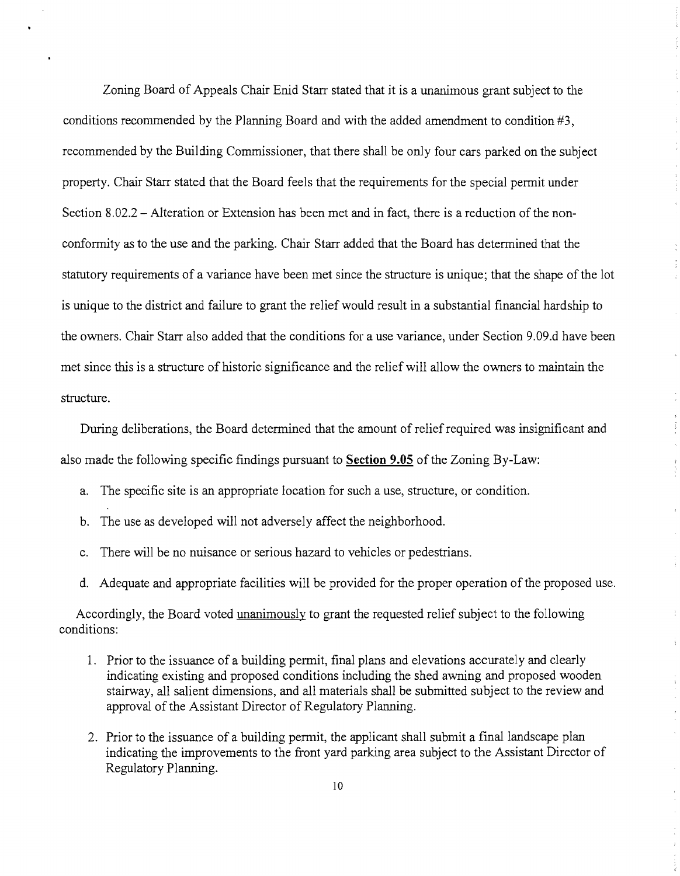Zoning Board of Appeals Chair Enid Starr stated that it is a unanimous grant subject to the conditions recommended by the Planning Board and with the added amendment to condition #3, recommended by the Building Commissioner, that there shall be only four cars parked on the subject property. Chair Starr stated that the Board feels that the requirements for the special permit under Section 8.02.2 - Alteration or Extension has been met and in fact, there is a reduction of the nonconformity as to the use and the parking. Chair Starr added that the Board has determined that the statutory requirements of a variance have been met since the structure is unique; that the shape of the lot is unique to the district and failure to grant the relief would result in a substantial financial hardship to the owners. Chair Starr also added that the conditions for a use variance, under Section 9.09.d have been met since this is a structure of historic significance and the relief will allow the owners to maintain the structure.

During deliberations, the Board determined that the amount of relief required was insignificant and also made the following specific findings pursuant to **Section 9.05** of the Zoning By-Law:

 $\begin{array}{cc} \phi_1 & \phi_2 & \phi_3 \\ \phi_1 & \phi_2 & \phi_3 \end{array}$ 

Ŷ.

÷.

- a. The specific site is an appropriate location for such a use, structure, or condition.
- b. The use as developed will not adversely affect the neighborhood.
- c. There will be no nuisance or serious hazard to vehicles or pedestrians.
- d. Adequate and appropriate facilities will be provided for the proper operation of the proposed use.

Accordingly, the Board voted unanimously to grant the requested relief subject to the following conditions:

- 1. Prior to the issuance of a building permit, final plans and elevations accurately and clearly indicating existing and proposed conditions including the shed awning and proposed wooden stairway, all salient dimensions, and all materials shall be submitted subject to the review and approval of the Assistant Director of Regulatory Planning.
- 2. Prior to the issuance of a building permit, the applicant shall submit a final landscape plan indicating the improvements to the front yard parking area subject to the Assistant Director of Regulatory Planning.